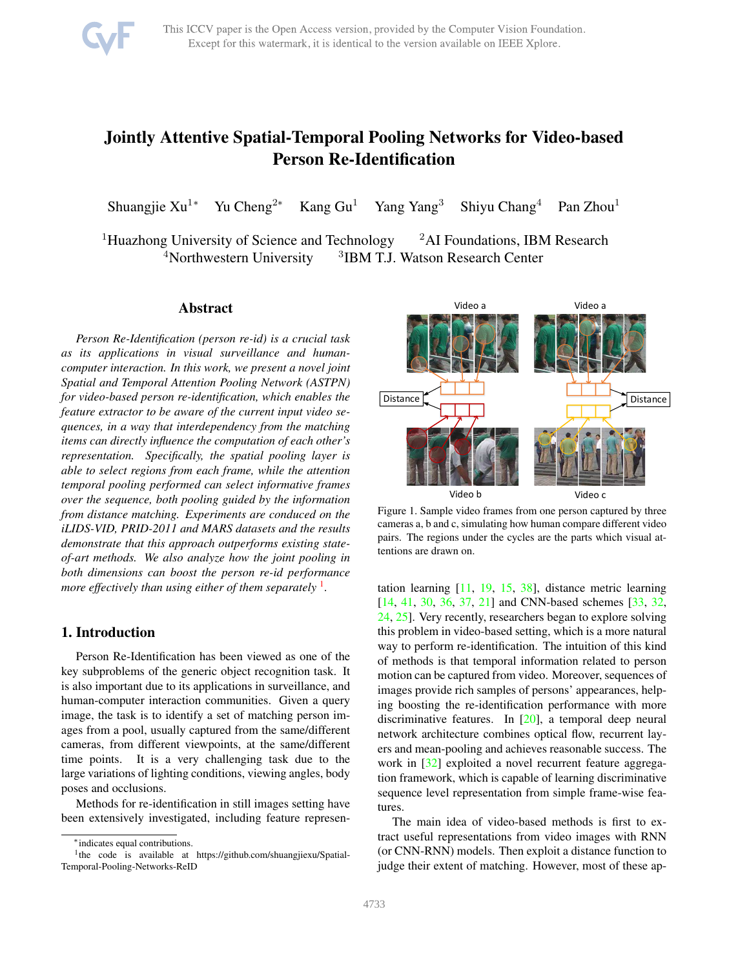

# <span id="page-0-2"></span>Jointly Attentive Spatial-Temporal Pooling Networks for Video-based Person Re-Identification

Shuangjie  $Xu^{1*}$  Yu Cheng<sup>2∗</sup> Kang Gu<sup>1</sup> Yang Yang<sup>3</sup> Shiyu Chang<sup>4</sup> Pan Zhou<sup>1</sup>

<sup>1</sup>Huazhong University of Science and Technology  $\frac{2}{1}$  Foundations, IBM Research <sup>4</sup>Northwestern University <sup>3</sup>IBM T.J. Watson Research Center

# Abstract

*Person Re-Identification (person re-id) is a crucial task as its applications in visual surveillance and humancomputer interaction. In this work, we present a novel joint Spatial and Temporal Attention Pooling Network (ASTPN) for video-based person re-identification, which enables the feature extractor to be aware of the current input video sequences, in a way that interdependency from the matching items can directly influence the computation of each other's representation. Specifically, the spatial pooling layer is able to select regions from each frame, while the attention temporal pooling performed can select informative frames over the sequence, both pooling guided by the information from distance matching. Experiments are conduced on the iLIDS-VID, PRID-2011 and MARS datasets and the results demonstrate that this approach outperforms existing stateof-art methods. We also analyze how the joint pooling in both dimensions can boost the person re-id performance* more effectively than using either of them separately <sup>[1](#page-0-0)</sup>.

# 1. Introduction

Person Re-Identification has been viewed as one of the key subproblems of the generic object recognition task. It is also important due to its applications in surveillance, and human-computer interaction communities. Given a query image, the task is to identify a set of matching person images from a pool, usually captured from the same/different cameras, from different viewpoints, at the same/different time points. It is a very challenging task due to the large variations of lighting conditions, viewing angles, body poses and occlusions.

Methods for re-identification in still images setting have been extensively investigated, including feature represen-



<span id="page-0-1"></span>Figure 1. Sample video frames from one person captured by three cameras a, b and c, simulating how human compare different video pairs. The regions under the cycles are the parts which visual attentions are drawn on.

tation learning [\[11,](#page-8-0) [19,](#page-8-1) [15,](#page-8-2) [38\]](#page-9-0), distance metric learning [\[14,](#page-8-3) [41,](#page-9-1) [30,](#page-8-4) [36,](#page-9-2) [37,](#page-9-3) [21\]](#page-8-5) and CNN-based schemes [\[33,](#page-8-6) [32,](#page-8-7) [24,](#page-8-8) [25\]](#page-8-9). Very recently, researchers began to explore solving this problem in video-based setting, which is a more natural way to perform re-identification. The intuition of this kind of methods is that temporal information related to person motion can be captured from video. Moreover, sequences of images provide rich samples of persons' appearances, helping boosting the re-identification performance with more discriminative features. In [\[20\]](#page-8-10), a temporal deep neural network architecture combines optical flow, recurrent layers and mean-pooling and achieves reasonable success. The work in [\[32\]](#page-8-7) exploited a novel recurrent feature aggregation framework, which is capable of learning discriminative sequence level representation from simple frame-wise features.

The main idea of video-based methods is first to extract useful representations from video images with RNN (or CNN-RNN) models. Then exploit a distance function to judge their extent of matching. However, most of these ap-

<span id="page-0-0"></span><sup>∗</sup>indicates equal contributions.

<sup>&</sup>lt;sup>1</sup>the code is available at https://github.com/shuangjiexu/Spatial-Temporal-Pooling-Networks-ReID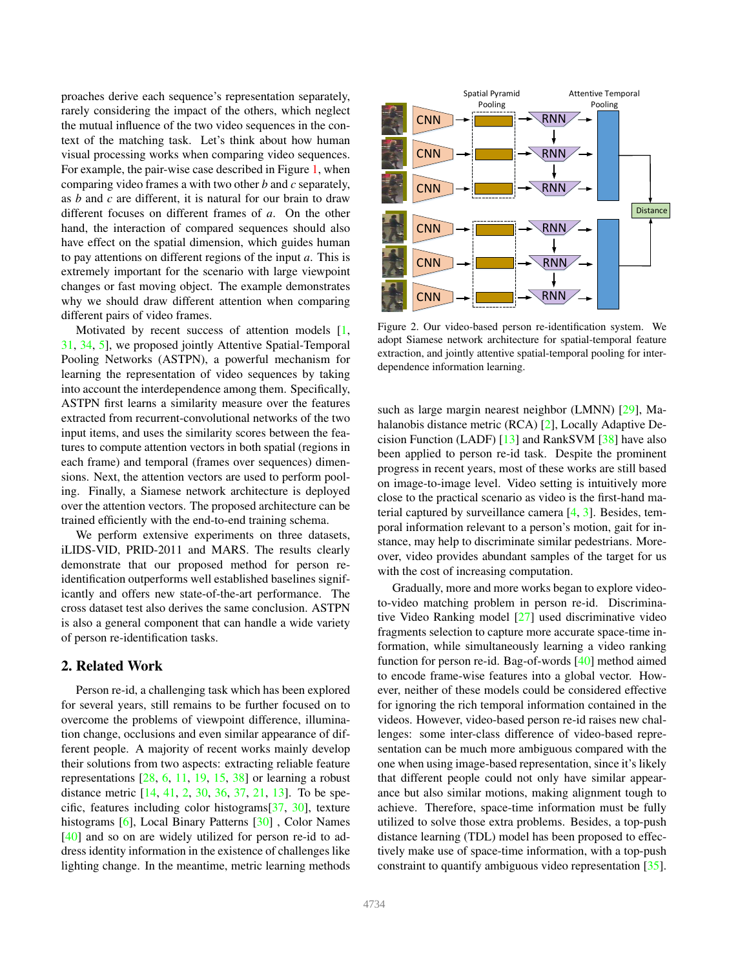<span id="page-1-1"></span>proaches derive each sequence's representation separately, rarely considering the impact of the others, which neglect the mutual influence of the two video sequences in the context of the matching task. Let's think about how human visual processing works when comparing video sequences. For example, the pair-wise case described in Figure [1,](#page-0-1) when comparing video frames a with two other *b* and *c* separately, as *b* and *c* are different, it is natural for our brain to draw different focuses on different frames of *a*. On the other hand, the interaction of compared sequences should also have effect on the spatial dimension, which guides human to pay attentions on different regions of the input *a*. This is extremely important for the scenario with large viewpoint changes or fast moving object. The example demonstrates why we should draw different attention when comparing different pairs of video frames.

Motivated by recent success of attention models [\[1,](#page-8-11) [31,](#page-8-12) [34,](#page-8-13) [5\]](#page-8-14), we proposed jointly Attentive Spatial-Temporal Pooling Networks (ASTPN), a powerful mechanism for learning the representation of video sequences by taking into account the interdependence among them. Specifically, ASTPN first learns a similarity measure over the features extracted from recurrent-convolutional networks of the two input items, and uses the similarity scores between the features to compute attention vectors in both spatial (regions in each frame) and temporal (frames over sequences) dimensions. Next, the attention vectors are used to perform pooling. Finally, a Siamese network architecture is deployed over the attention vectors. The proposed architecture can be trained efficiently with the end-to-end training schema.

We perform extensive experiments on three datasets, iLIDS-VID, PRID-2011 and MARS. The results clearly demonstrate that our proposed method for person reidentification outperforms well established baselines significantly and offers new state-of-the-art performance. The cross dataset test also derives the same conclusion. ASTPN is also a general component that can handle a wide variety of person re-identification tasks.

# 2. Related Work

Person re-id, a challenging task which has been explored for several years, still remains to be further focused on to overcome the problems of viewpoint difference, illumination change, occlusions and even similar appearance of different people. A majority of recent works mainly develop their solutions from two aspects: extracting reliable feature representations [\[28,](#page-8-15) [6,](#page-8-16) [11,](#page-8-0) [19,](#page-8-1) [15,](#page-8-2) [38\]](#page-9-0) or learning a robust distance metric [\[14,](#page-8-3) [41,](#page-9-1) [2,](#page-8-17) [30,](#page-8-4) [36,](#page-9-2) [37,](#page-9-3) [21,](#page-8-5) [13\]](#page-8-18). To be specific, features including color histograms[\[37,](#page-9-3) [30\]](#page-8-4), texture histograms [\[6\]](#page-8-16), Local Binary Patterns [\[30\]](#page-8-4), Color Names [\[40\]](#page-9-4) and so on are widely utilized for person re-id to address identity information in the existence of challenges like lighting change. In the meantime, metric learning methods



<span id="page-1-0"></span>Figure 2. Our video-based person re-identification system. We adopt Siamese network architecture for spatial-temporal feature extraction, and jointly attentive spatial-temporal pooling for interdependence information learning.

such as large margin nearest neighbor (LMNN) [\[29\]](#page-8-19), Mahalanobis distance metric (RCA) [\[2\]](#page-8-17), Locally Adaptive Decision Function (LADF) [\[13\]](#page-8-18) and RankSVM [\[38\]](#page-9-0) have also been applied to person re-id task. Despite the prominent progress in recent years, most of these works are still based on image-to-image level. Video setting is intuitively more close to the practical scenario as video is the first-hand material captured by surveillance camera [\[4,](#page-8-20) [3\]](#page-8-21). Besides, temporal information relevant to a person's motion, gait for instance, may help to discriminate similar pedestrians. Moreover, video provides abundant samples of the target for us with the cost of increasing computation.

Gradually, more and more works began to explore videoto-video matching problem in person re-id. Discriminative Video Ranking model [\[27\]](#page-8-22) used discriminative video fragments selection to capture more accurate space-time information, while simultaneously learning a video ranking function for person re-id. Bag-of-words [\[40\]](#page-9-4) method aimed to encode frame-wise features into a global vector. However, neither of these models could be considered effective for ignoring the rich temporal information contained in the videos. However, video-based person re-id raises new challenges: some inter-class difference of video-based representation can be much more ambiguous compared with the one when using image-based representation, since it's likely that different people could not only have similar appearance but also similar motions, making alignment tough to achieve. Therefore, space-time information must be fully utilized to solve those extra problems. Besides, a top-push distance learning (TDL) model has been proposed to effectively make use of space-time information, with a top-push constraint to quantify ambiguous video representation [\[35\]](#page-9-5).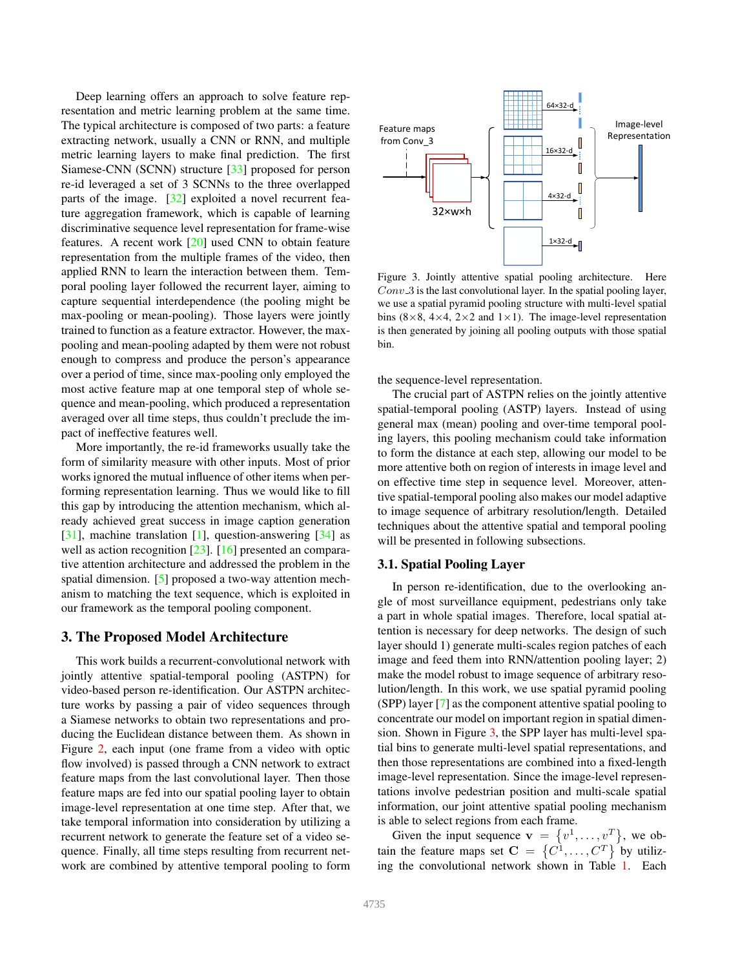<span id="page-2-1"></span>Deep learning offers an approach to solve feature representation and metric learning problem at the same time. The typical architecture is composed of two parts: a feature extracting network, usually a CNN or RNN, and multiple metric learning layers to make final prediction. The first Siamese-CNN (SCNN) structure [\[33\]](#page-8-6) proposed for person re-id leveraged a set of 3 SCNNs to the three overlapped parts of the image. [\[32\]](#page-8-7) exploited a novel recurrent feature aggregation framework, which is capable of learning discriminative sequence level representation for frame-wise features. A recent work [\[20\]](#page-8-10) used CNN to obtain feature representation from the multiple frames of the video, then applied RNN to learn the interaction between them. Temporal pooling layer followed the recurrent layer, aiming to capture sequential interdependence (the pooling might be max-pooling or mean-pooling). Those layers were jointly trained to function as a feature extractor. However, the maxpooling and mean-pooling adapted by them were not robust enough to compress and produce the person's appearance over a period of time, since max-pooling only employed the most active feature map at one temporal step of whole sequence and mean-pooling, which produced a representation averaged over all time steps, thus couldn't preclude the impact of ineffective features well.

More importantly, the re-id frameworks usually take the form of similarity measure with other inputs. Most of prior works ignored the mutual influence of other items when performing representation learning. Thus we would like to fill this gap by introducing the attention mechanism, which already achieved great success in image caption generation [\[31\]](#page-8-12), machine translation [\[1\]](#page-8-11), question-answering  $[34]$  as well as action recognition [\[23\]](#page-8-23). [\[16\]](#page-8-24) presented an comparative attention architecture and addressed the problem in the spatial dimension. [\[5\]](#page-8-14) proposed a two-way attention mechanism to matching the text sequence, which is exploited in our framework as the temporal pooling component.

# 3. The Proposed Model Architecture

This work builds a recurrent-convolutional network with jointly attentive spatial-temporal pooling (ASTPN) for video-based person re-identification. Our ASTPN architecture works by passing a pair of video sequences through a Siamese networks to obtain two representations and producing the Euclidean distance between them. As shown in Figure [2,](#page-1-0) each input (one frame from a video with optic flow involved) is passed through a CNN network to extract feature maps from the last convolutional layer. Then those feature maps are fed into our spatial pooling layer to obtain image-level representation at one time step. After that, we take temporal information into consideration by utilizing a recurrent network to generate the feature set of a video sequence. Finally, all time steps resulting from recurrent network are combined by attentive temporal pooling to form



<span id="page-2-0"></span>Figure 3. Jointly attentive spatial pooling architecture. Here  $Conv.3$  is the last convolutional layer. In the spatial pooling layer, we use a spatial pyramid pooling structure with multi-level spatial bins (8×8, 4×4, 2×2 and 1×1). The image-level representation is then generated by joining all pooling outputs with those spatial bin.

the sequence-level representation.

The crucial part of ASTPN relies on the jointly attentive spatial-temporal pooling (ASTP) layers. Instead of using general max (mean) pooling and over-time temporal pooling layers, this pooling mechanism could take information to form the distance at each step, allowing our model to be more attentive both on region of interests in image level and on effective time step in sequence level. Moreover, attentive spatial-temporal pooling also makes our model adaptive to image sequence of arbitrary resolution/length. Detailed techniques about the attentive spatial and temporal pooling will be presented in following subsections.

#### 3.1. Spatial Pooling Layer

In person re-identification, due to the overlooking angle of most surveillance equipment, pedestrians only take a part in whole spatial images. Therefore, local spatial attention is necessary for deep networks. The design of such layer should 1) generate multi-scales region patches of each image and feed them into RNN/attention pooling layer; 2) make the model robust to image sequence of arbitrary resolution/length. In this work, we use spatial pyramid pooling (SPP) layer [\[7\]](#page-8-25) as the component attentive spatial pooling to concentrate our model on important region in spatial dimension. Shown in Figure [3,](#page-2-0) the SPP layer has multi-level spatial bins to generate multi-level spatial representations, and then those representations are combined into a fixed-length image-level representation. Since the image-level representations involve pedestrian position and multi-scale spatial information, our joint attentive spatial pooling mechanism is able to select regions from each frame.

Given the input sequence  $\mathbf{v} = \{v^1, \dots, v^T\}$ , we obtain the feature maps set  $C = \{C^1, \ldots, C^T\}$  by utilizing the convolutional network shown in Table [1.](#page-4-0) Each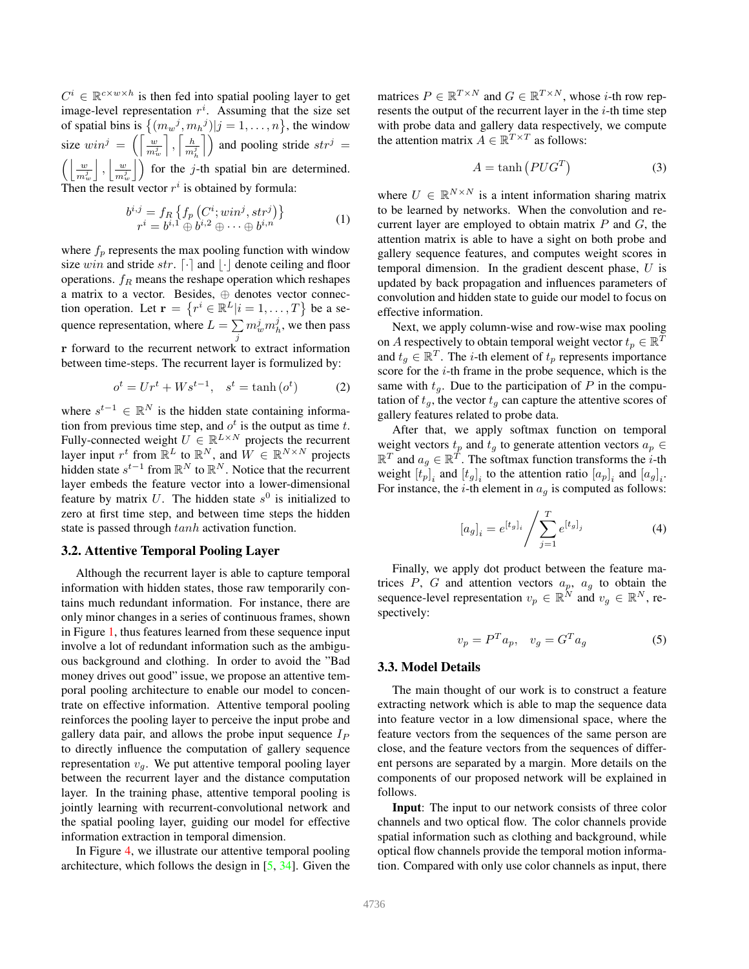<span id="page-3-0"></span> $C^i \in \mathbb{R}^{c \times w \times h}$  is then fed into spatial pooling layer to get image-level representation  $r^i$ . Assuming that the size set of spatial bins is  $\{(m_w^j, m_h^j)|j = 1, \dots, n\}$ , the window size  $win^j = \left(\frac{w}{m_w^j}\right)$  $\left[ , \left\lceil \frac{h}{m_h^j} \right\rceil \right)$  and pooling stride  $str^j =$  $\left(\left\lfloor \frac{w}{m_w^j}\right\rfloor\right)$  $\left[ , \left\lfloor \frac{w}{m_w^j} \right\rfloor \right]$  for the j-th spatial bin are determined. Then the result vector  $r^i$  is obtained by formula:

$$
b^{i,j} = f_R \left\{ f_p \left( C^i; win^j, str^j \right) \right\}
$$
  

$$
r^i = b^{i,1} \oplus b^{i,2} \oplus \dots \oplus b^{i,n}
$$
 (1)

where  $f_p$  represents the max pooling function with window size win and stride str.  $\lceil \cdot \rceil$  and  $\lfloor \cdot \rfloor$  denote ceiling and floor operations.  $f_R$  means the reshape operation which reshapes a matrix to a vector. Besides, ⊕ denotes vector connection operation. Let  $\mathbf{r} = \{r^i \in \mathbb{R}^L | i = 1, ..., T\}$  be a sequence representation, where  $L = \sum_{j}$  $m_w^j m_h^j$ , we then pass r forward to the recurrent network to extract information between time-steps. The recurrent layer is formulized by:

$$
o^t = Ur^t + Ws^{t-1}, \quad s^t = \tanh\left(o^t\right) \tag{2}
$$

where  $s^{t-1} \in \mathbb{R}^N$  is the hidden state containing information from previous time step, and  $o<sup>t</sup>$  is the output as time t. Fully-connected weight  $U \in \mathbb{R}^{L \times N}$  projects the recurrent layer input  $r^t$  from  $\mathbb{R}^L$  to  $\mathbb{R}^N$ , and  $\hat{W} \in \mathbb{R}^{N \times N}$  projects hidden state  $s^{t-1}$  from  $\mathbb{R}^N$  to  $\mathbb{R}^N$ . Notice that the recurrent layer embeds the feature vector into a lower-dimensional feature by matrix U. The hidden state  $s^0$  is initialized to zero at first time step, and between time steps the hidden state is passed through tanh activation function.

#### 3.2. Attentive Temporal Pooling Layer

Although the recurrent layer is able to capture temporal information with hidden states, those raw temporarily contains much redundant information. For instance, there are only minor changes in a series of continuous frames, shown in Figure [1,](#page-0-1) thus features learned from these sequence input involve a lot of redundant information such as the ambiguous background and clothing. In order to avoid the "Bad money drives out good" issue, we propose an attentive temporal pooling architecture to enable our model to concentrate on effective information. Attentive temporal pooling reinforces the pooling layer to perceive the input probe and gallery data pair, and allows the probe input sequence  $I_P$ to directly influence the computation of gallery sequence representation  $v_q$ . We put attentive temporal pooling layer between the recurrent layer and the distance computation layer. In the training phase, attentive temporal pooling is jointly learning with recurrent-convolutional network and the spatial pooling layer, guiding our model for effective information extraction in temporal dimension.

In Figure [4,](#page-4-1) we illustrate our attentive temporal pooling architecture, which follows the design in [\[5,](#page-8-14) [34\]](#page-8-13). Given the

matrices  $P \in \mathbb{R}^{T \times N}$  and  $G \in \mathbb{R}^{T \times N}$ , whose *i*-th row represents the output of the recurrent layer in the  $i$ -th time step with probe data and gallery data respectively, we compute the attention matrix  $\overline{A} \in \mathbb{R}^{T \times T}$  as follows:

$$
A = \tanh\left(PUG^T\right) \tag{3}
$$

where  $U \in \mathbb{R}^{N \times N}$  is a intent information sharing matrix to be learned by networks. When the convolution and recurrent layer are employed to obtain matrix  $P$  and  $G$ , the attention matrix is able to have a sight on both probe and gallery sequence features, and computes weight scores in temporal dimension. In the gradient descent phase,  $U$  is updated by back propagation and influences parameters of convolution and hidden state to guide our model to focus on effective information.

Next, we apply column-wise and row-wise max pooling on A respectively to obtain temporal weight vector  $t_p \in \mathbb{R}^T$ and  $t_g \in \mathbb{R}^T$ . The *i*-th element of  $t_p$  represents importance score for the  $i$ -th frame in the probe sequence, which is the same with  $t_q$ . Due to the participation of P in the computation of  $t_g$ , the vector  $t_g$  can capture the attentive scores of gallery features related to probe data.

After that, we apply softmax function on temporal weight vectors  $t_p$  and  $t_g$  to generate attention vectors  $a_p \in$  $\mathbb{R}^T$  and  $a_g \in \mathbb{R}^T$ . The softmax function transforms the *i*-th weight  $[t_p]_i$  and  $[t_g]_i$  to the attention ratio  $[a_p]_i$  and  $[a_g]_i$ . For instance, the *i*-th element in  $a<sub>g</sub>$  is computed as follows:

$$
[a_g]_i = e^{[t_g]_i} / \sum_{j=1}^T e^{[t_g]_j}
$$
 (4)

Finally, we apply dot product between the feature matrices  $P$ ,  $G$  and attention vectors  $a_p$ ,  $a_g$  to obtain the sequence-level representation  $v_p \in \mathbb{R}^N$  and  $v_g \in \mathbb{R}^N$ , respectively:

$$
v_p = P^T a_p, \quad v_g = G^T a_g \tag{5}
$$

#### 3.3. Model Details

The main thought of our work is to construct a feature extracting network which is able to map the sequence data into feature vector in a low dimensional space, where the feature vectors from the sequences of the same person are close, and the feature vectors from the sequences of different persons are separated by a margin. More details on the components of our proposed network will be explained in follows.

Input: The input to our network consists of three color channels and two optical flow. The color channels provide spatial information such as clothing and background, while optical flow channels provide the temporal motion information. Compared with only use color channels as input, there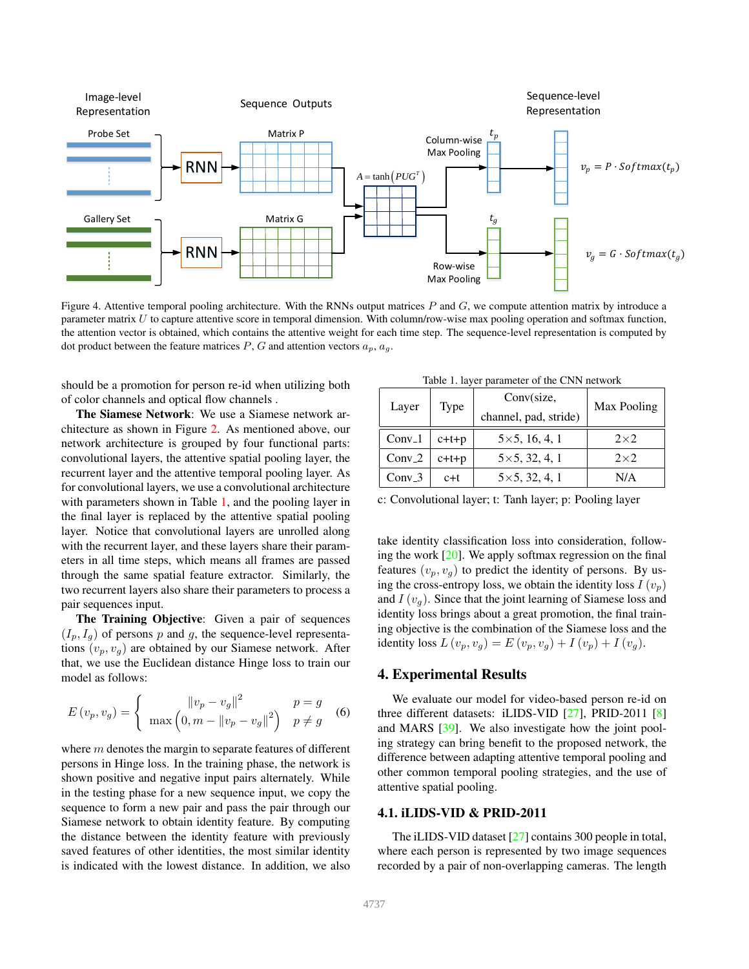<span id="page-4-2"></span>

<span id="page-4-1"></span>Figure 4. Attentive temporal pooling architecture. With the RNNs output matrices  $P$  and  $G$ , we compute attention matrix by introduce a parameter matrix  $U$  to capture attentive score in temporal dimension. With column/row-wise max pooling operation and softmax function, the attention vector is obtained, which contains the attentive weight for each time step. The sequence-level representation is computed by dot product between the feature matrices  $P$ ,  $G$  and attention vectors  $a_p$ ,  $a_q$ .

should be a promotion for person re-id when utilizing both of color channels and optical flow channels .

The Siamese Network: We use a Siamese network architecture as shown in Figure [2.](#page-1-0) As mentioned above, our network architecture is grouped by four functional parts: convolutional layers, the attentive spatial pooling layer, the recurrent layer and the attentive temporal pooling layer. As for convolutional layers, we use a convolutional architecture with parameters shown in Table [1,](#page-4-0) and the pooling layer in the final layer is replaced by the attentive spatial pooling layer. Notice that convolutional layers are unrolled along with the recurrent layer, and these layers share their parameters in all time steps, which means all frames are passed through the same spatial feature extractor. Similarly, the two recurrent layers also share their parameters to process a pair sequences input.

The Training Objective: Given a pair of sequences  $(I_p, I_q)$  of persons p and g, the sequence-level representations  $(v_p, v_q)$  are obtained by our Siamese network. After that, we use the Euclidean distance Hinge loss to train our model as follows:

$$
E(v_p, v_g) = \begin{cases} ||v_p - v_g||^2 & p = g \\ \max\left(0, m - ||v_p - v_g||^2\right) & p \neq g \end{cases}
$$
 (6)

where  $m$  denotes the margin to separate features of different persons in Hinge loss. In the training phase, the network is shown positive and negative input pairs alternately. While in the testing phase for a new sequence input, we copy the sequence to form a new pair and pass the pair through our Siamese network to obtain identity feature. By computing the distance between the identity feature with previously saved features of other identities, the most similar identity is indicated with the lowest distance. In addition, we also

<span id="page-4-0"></span>Table 1. layer parameter of the CNN network

| raone 1, ia jet parameter of the era methorit |         |                                     |              |  |  |  |
|-----------------------------------------------|---------|-------------------------------------|--------------|--|--|--|
| Layer<br>Type                                 |         | Conv(size,<br>channel, pad, stride) | Max Pooling  |  |  |  |
| $Conv_1$                                      | $c+t+p$ | $5\times 5$ , 16, 4, 1              | $2 \times 2$ |  |  |  |
| $Conv_2$                                      | $c+t+p$ | $5\times 5, 32, 4, 1$               | $2 \times 2$ |  |  |  |
| $Conv_3$                                      | $c+t$   | $5\times 5$ , 32, 4, 1              | N/A          |  |  |  |

c: Convolutional layer; t: Tanh layer; p: Pooling layer

take identity classification loss into consideration, following the work [\[20\]](#page-8-10). We apply softmax regression on the final features  $(v_p, v_q)$  to predict the identity of persons. By using the cross-entropy loss, we obtain the identity loss  $I(v_p)$ and  $I(v_q)$ . Since that the joint learning of Siamese loss and identity loss brings about a great promotion, the final training objective is the combination of the Siamese loss and the identity loss  $L(v_p, v_q) = E(v_p, v_q) + I(v_p) + I(v_q)$ .

# 4. Experimental Results

We evaluate our model for video-based person re-id on three different datasets: iLIDS-VID [\[27\]](#page-8-22), PRID-2011 [\[8\]](#page-8-26) and MARS [\[39\]](#page-9-6). We also investigate how the joint pooling strategy can bring benefit to the proposed network, the difference between adapting attentive temporal pooling and other common temporal pooling strategies, and the use of attentive spatial pooling.

#### 4.1. iLIDS-VID & PRID-2011

The iLIDS-VID dataset [\[27\]](#page-8-22) contains 300 people in total, where each person is represented by two image sequences recorded by a pair of non-overlapping cameras. The length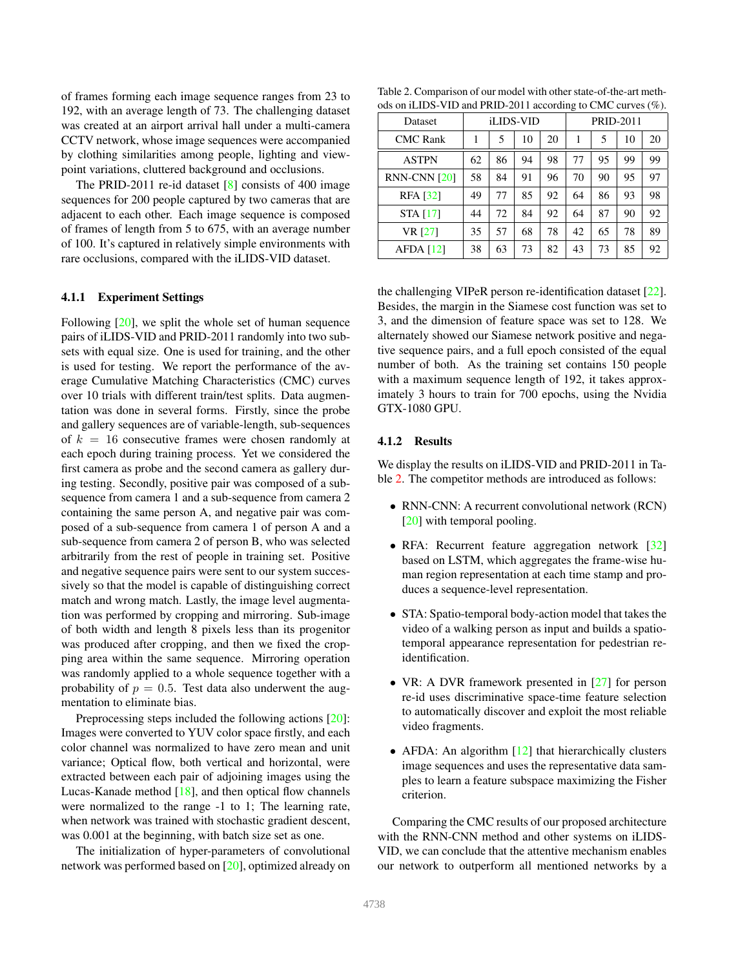<span id="page-5-1"></span>of frames forming each image sequence ranges from 23 to 192, with an average length of 73. The challenging dataset was created at an airport arrival hall under a multi-camera CCTV network, whose image sequences were accompanied by clothing similarities among people, lighting and viewpoint variations, cluttered background and occlusions.

The PRID-2011 re-id dataset [\[8\]](#page-8-26) consists of 400 image sequences for 200 people captured by two cameras that are adjacent to each other. Each image sequence is composed of frames of length from 5 to 675, with an average number of 100. It's captured in relatively simple environments with rare occlusions, compared with the iLIDS-VID dataset.

#### 4.1.1 Experiment Settings

Following [\[20\]](#page-8-10), we split the whole set of human sequence pairs of iLIDS-VID and PRID-2011 randomly into two subsets with equal size. One is used for training, and the other is used for testing. We report the performance of the average Cumulative Matching Characteristics (CMC) curves over 10 trials with different train/test splits. Data augmentation was done in several forms. Firstly, since the probe and gallery sequences are of variable-length, sub-sequences of  $k = 16$  consecutive frames were chosen randomly at each epoch during training process. Yet we considered the first camera as probe and the second camera as gallery during testing. Secondly, positive pair was composed of a subsequence from camera 1 and a sub-sequence from camera 2 containing the same person A, and negative pair was composed of a sub-sequence from camera 1 of person A and a sub-sequence from camera 2 of person B, who was selected arbitrarily from the rest of people in training set. Positive and negative sequence pairs were sent to our system successively so that the model is capable of distinguishing correct match and wrong match. Lastly, the image level augmentation was performed by cropping and mirroring. Sub-image of both width and length 8 pixels less than its progenitor was produced after cropping, and then we fixed the cropping area within the same sequence. Mirroring operation was randomly applied to a whole sequence together with a probability of  $p = 0.5$ . Test data also underwent the augmentation to eliminate bias.

Preprocessing steps included the following actions [\[20\]](#page-8-10): Images were converted to YUV color space firstly, and each color channel was normalized to have zero mean and unit variance; Optical flow, both vertical and horizontal, were extracted between each pair of adjoining images using the Lucas-Kanade method [\[18\]](#page-8-27), and then optical flow channels were normalized to the range -1 to 1; The learning rate, when network was trained with stochastic gradient descent, was 0.001 at the beginning, with batch size set as one.

The initialization of hyper-parameters of convolutional network was performed based on [\[20\]](#page-8-10), optimized already on

<span id="page-5-0"></span>

|  | Table 2. Comparison of our model with other state-of-the-art meth- |
|--|--------------------------------------------------------------------|
|  | ods on iLIDS-VID and PRID-2011 according to CMC curves (%).        |

| <b>Dataset</b>      |    |    | <b>iLIDS-VID</b> |    | <b>PRID-2011</b> |    |    |    |
|---------------------|----|----|------------------|----|------------------|----|----|----|
| <b>CMC</b> Rank     |    | 5  | 10               | 20 |                  | 5  | 10 | 20 |
| <b>ASTPN</b>        | 62 | 86 | 94               | 98 | 77               | 95 | 99 | 99 |
| <b>RNN-CNN [20]</b> | 58 | 84 | 91               | 96 | 70               | 90 | 95 | 97 |
| <b>RFA</b> [32]     | 49 | 77 | 85               | 92 | 64               | 86 | 93 | 98 |
| <b>STA</b> [17]     | 44 | 72 | 84               | 92 | 64               | 87 | 90 | 92 |
| VR [27]             | 35 | 57 | 68               | 78 | 42               | 65 | 78 | 89 |
| <b>AFDA</b> [12]    | 38 | 63 | 73               | 82 | 43               | 73 | 85 | 92 |

the challenging VIPeR person re-identification dataset [\[22\]](#page-8-30). Besides, the margin in the Siamese cost function was set to 3, and the dimension of feature space was set to 128. We alternately showed our Siamese network positive and negative sequence pairs, and a full epoch consisted of the equal number of both. As the training set contains 150 people with a maximum sequence length of 192, it takes approximately 3 hours to train for 700 epochs, using the Nvidia GTX-1080 GPU.

## 4.1.2 Results

We display the results on iLIDS-VID and PRID-2011 in Table [2.](#page-5-0) The competitor methods are introduced as follows:

- RNN-CNN: A recurrent convolutional network (RCN) [\[20\]](#page-8-10) with temporal pooling.
- RFA: Recurrent feature aggregation network [\[32\]](#page-8-7) based on LSTM, which aggregates the frame-wise human region representation at each time stamp and produces a sequence-level representation.
- STA: Spatio-temporal body-action model that takes the video of a walking person as input and builds a spatiotemporal appearance representation for pedestrian reidentification.
- VR: A DVR framework presented in [\[27\]](#page-8-22) for person re-id uses discriminative space-time feature selection to automatically discover and exploit the most reliable video fragments.
- AFDA: An algorithm [\[12\]](#page-8-29) that hierarchically clusters image sequences and uses the representative data samples to learn a feature subspace maximizing the Fisher criterion.

Comparing the CMC results of our proposed architecture with the RNN-CNN method and other systems on iLIDS-VID, we can conclude that the attentive mechanism enables our network to outperform all mentioned networks by a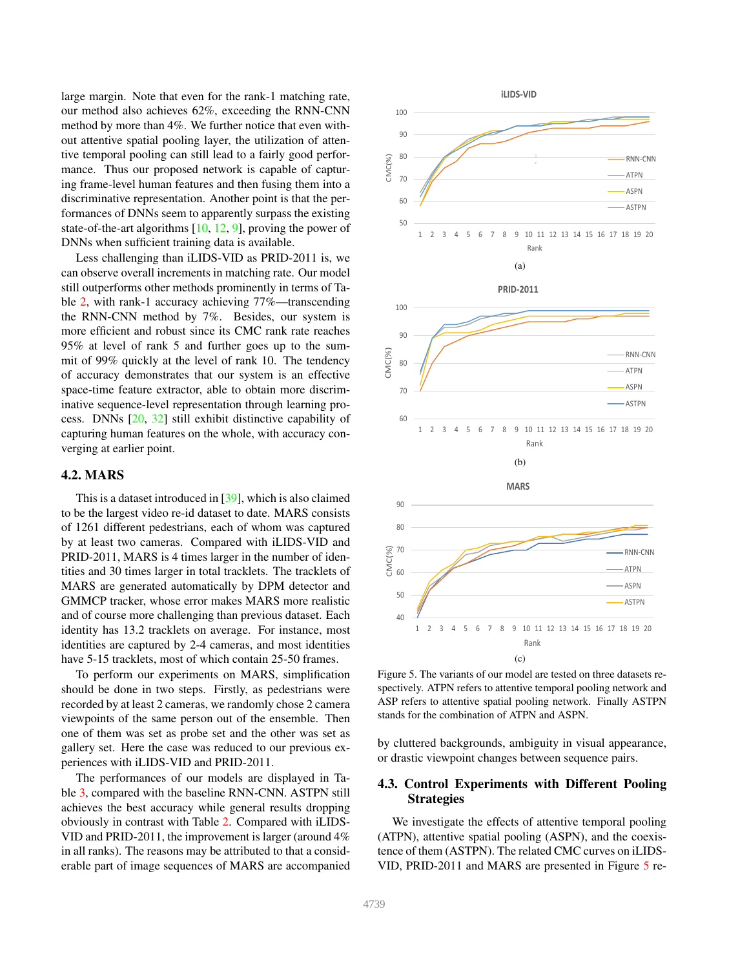<span id="page-6-4"></span>large margin. Note that even for the rank-1 matching rate, our method also achieves 62%, exceeding the RNN-CNN method by more than 4%. We further notice that even without attentive spatial pooling layer, the utilization of attentive temporal pooling can still lead to a fairly good performance. Thus our proposed network is capable of capturing frame-level human features and then fusing them into a discriminative representation. Another point is that the performances of DNNs seem to apparently surpass the existing state-of-the-art algorithms  $[10, 12, 9]$  $[10, 12, 9]$  $[10, 12, 9]$  $[10, 12, 9]$ , proving the power of DNNs when sufficient training data is available.

Less challenging than iLIDS-VID as PRID-2011 is, we can observe overall increments in matching rate. Our model still outperforms other methods prominently in terms of Table [2,](#page-5-0) with rank-1 accuracy achieving 77%—transcending the RNN-CNN method by 7%. Besides, our system is more efficient and robust since its CMC rank rate reaches 95% at level of rank 5 and further goes up to the summit of 99% quickly at the level of rank 10. The tendency of accuracy demonstrates that our system is an effective space-time feature extractor, able to obtain more discriminative sequence-level representation through learning process. DNNs [\[20,](#page-8-10) [32\]](#page-8-7) still exhibit distinctive capability of capturing human features on the whole, with accuracy converging at earlier point.

# 4.2. MARS

This is a dataset introduced in [\[39\]](#page-9-6), which is also claimed to be the largest video re-id dataset to date. MARS consists of 1261 different pedestrians, each of whom was captured by at least two cameras. Compared with iLIDS-VID and PRID-2011, MARS is 4 times larger in the number of identities and 30 times larger in total tracklets. The tracklets of MARS are generated automatically by DPM detector and GMMCP tracker, whose error makes MARS more realistic and of course more challenging than previous dataset. Each identity has 13.2 tracklets on average. For instance, most identities are captured by 2-4 cameras, and most identities have 5-15 tracklets, most of which contain 25-50 frames.

To perform our experiments on MARS, simplification should be done in two steps. Firstly, as pedestrians were recorded by at least 2 cameras, we randomly chose 2 camera viewpoints of the same person out of the ensemble. Then one of them was set as probe set and the other was set as gallery set. Here the case was reduced to our previous experiences with iLIDS-VID and PRID-2011.

The performances of our models are displayed in Table [3,](#page-7-0) compared with the baseline RNN-CNN. ASTPN still achieves the best accuracy while general results dropping obviously in contrast with Table [2.](#page-5-0) Compared with iLIDS-VID and PRID-2011, the improvement is larger (around 4% in all ranks). The reasons may be attributed to that a considerable part of image sequences of MARS are accompanied

<span id="page-6-1"></span>

<span id="page-6-3"></span><span id="page-6-2"></span><span id="page-6-0"></span>Figure 5. The variants of our model are tested on three datasets respectively. ATPN refers to attentive temporal pooling network and ASP refers to attentive spatial pooling network. Finally ASTPN stands for the combination of ATPN and ASPN.

by cluttered backgrounds, ambiguity in visual appearance, or drastic viewpoint changes between sequence pairs.

# 4.3. Control Experiments with Different Pooling Strategies

We investigate the effects of attentive temporal pooling (ATPN), attentive spatial pooling (ASPN), and the coexistence of them (ASTPN). The related CMC curves on iLIDS-VID, PRID-2011 and MARS are presented in Figure [5](#page-6-0) re-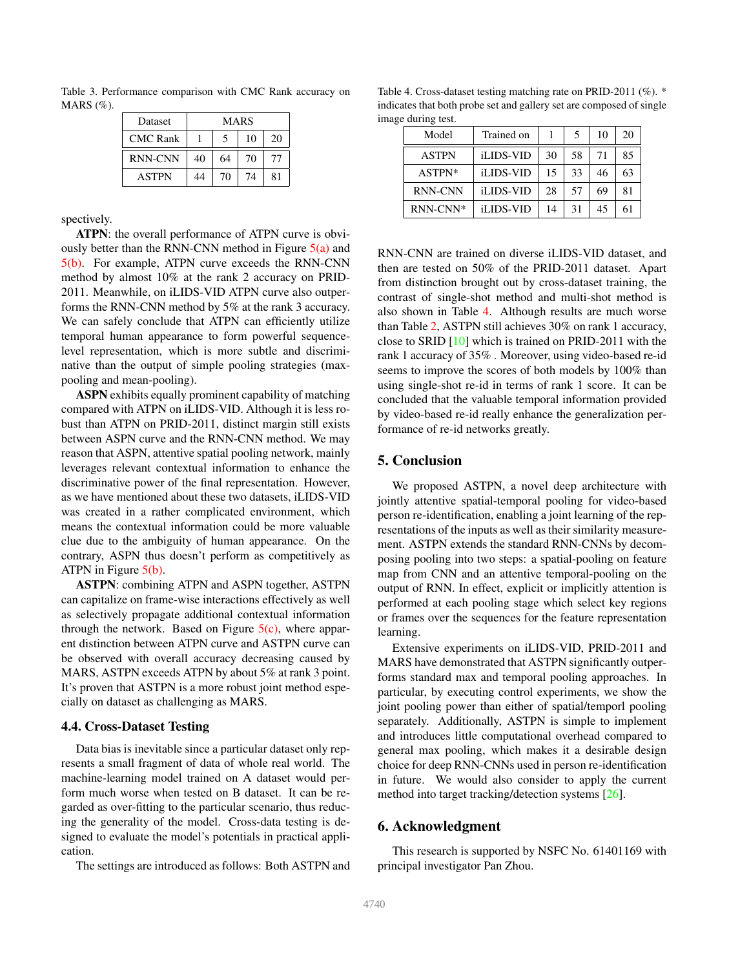<span id="page-7-2"></span>Table 3. Performance comparison with CMC Rank accuracy on MARS  $(\%)$ .

<span id="page-7-0"></span>

| Dataset      | MARS |    |    |    |  |
|--------------|------|----|----|----|--|
| CMC Rank     |      |    | 10 | 20 |  |
| RNN-CNN      | 40   | 64 | 70 | 77 |  |
| <b>ASTPN</b> | 44   | 70 | 74 | 81 |  |

spectively.

ATPN: the overall performance of ATPN curve is obviously better than the RNN-CNN method in Figure  $5(a)$  and [5\(b\).](#page-6-2) For example, ATPN curve exceeds the RNN-CNN method by almost 10% at the rank 2 accuracy on PRID-2011. Meanwhile, on iLIDS-VID ATPN curve also outperforms the RNN-CNN method by 5% at the rank 3 accuracy. We can safely conclude that ATPN can efficiently utilize temporal human appearance to form powerful sequencelevel representation, which is more subtle and discriminative than the output of simple pooling strategies (maxpooling and mean-pooling).

ASPN exhibits equally prominent capability of matching compared with ATPN on iLIDS-VID. Although it is less robust than ATPN on PRID-2011, distinct margin still exists between ASPN curve and the RNN-CNN method. We may reason that ASPN, attentive spatial pooling network, mainly leverages relevant contextual information to enhance the discriminative power of the final representation. However, as we have mentioned about these two datasets, iLIDS-VID was created in a rather complicated environment, which means the contextual information could be more valuable clue due to the ambiguity of human appearance. On the contrary, ASPN thus doesn't perform as competitively as ATPN in Figure [5\(b\).](#page-6-2)

ASTPN: combining ATPN and ASPN together, ASTPN can capitalize on frame-wise interactions effectively as well as selectively propagate additional contextual information through the network. Based on Figure  $5(c)$ , where apparent distinction between ATPN curve and ASTPN curve can be observed with overall accuracy decreasing caused by MARS, ASTPN exceeds ATPN by about 5% at rank 3 point. It's proven that ASTPN is a more robust joint method especially on dataset as challenging as MARS.

#### 4.4. Cross-Dataset Testing

Data bias is inevitable since a particular dataset only represents a small fragment of data of whole real world. The machine-learning model trained on A dataset would perform much worse when tested on B dataset. It can be regarded as over-fitting to the particular scenario, thus reducing the generality of the model. Cross-data testing is designed to evaluate the model's potentials in practical application.

The settings are introduced as follows: Both ASTPN and

<span id="page-7-1"></span>Table 4. Cross-dataset testing matching rate on PRID-2011 (%). \* indicates that both probe set and gallery set are composed of single image during test.

| Model          | Trained on       |    | 5  | 10 | 20 |
|----------------|------------------|----|----|----|----|
| <b>ASTPN</b>   | <b>iLIDS-VID</b> | 30 | 58 | 71 | 85 |
| ASTPN*         | <b>iLIDS-VID</b> | 15 | 33 | 46 | 63 |
| <b>RNN-CNN</b> | iLIDS-VID        | 28 | 57 | 69 | 81 |
| RNN-CNN*       | <b>iLIDS-VID</b> | 14 | 31 | 45 | 61 |

RNN-CNN are trained on diverse iLIDS-VID dataset, and then are tested on 50% of the PRID-2011 dataset. Apart from distinction brought out by cross-dataset training, the contrast of single-shot method and multi-shot method is also shown in Table [4.](#page-7-1) Although results are much worse than Table [2,](#page-5-0) ASTPN still achieves 30% on rank 1 accuracy, close to SRID [\[10\]](#page-8-31) which is trained on PRID-2011 with the rank 1 accuracy of 35% . Moreover, using video-based re-id seems to improve the scores of both models by 100% than using single-shot re-id in terms of rank 1 score. It can be concluded that the valuable temporal information provided by video-based re-id really enhance the generalization performance of re-id networks greatly.

## 5. Conclusion

We proposed ASTPN, a novel deep architecture with jointly attentive spatial-temporal pooling for video-based person re-identification, enabling a joint learning of the representations of the inputs as well as their similarity measurement. ASTPN extends the standard RNN-CNNs by decomposing pooling into two steps: a spatial-pooling on feature map from CNN and an attentive temporal-pooling on the output of RNN. In effect, explicit or implicitly attention is performed at each pooling stage which select key regions or frames over the sequences for the feature representation learning.

Extensive experiments on iLIDS-VID, PRID-2011 and MARS have demonstrated that ASTPN significantly outperforms standard max and temporal pooling approaches. In particular, by executing control experiments, we show the joint pooling power than either of spatial/temporl pooling separately. Additionally, ASTPN is simple to implement and introduces little computational overhead compared to general max pooling, which makes it a desirable design choice for deep RNN-CNNs used in person re-identification in future. We would also consider to apply the current method into target tracking/detection systems [\[26\]](#page-8-33).

## 6. Acknowledgment

This research is supported by NSFC No. 61401169 with principal investigator Pan Zhou.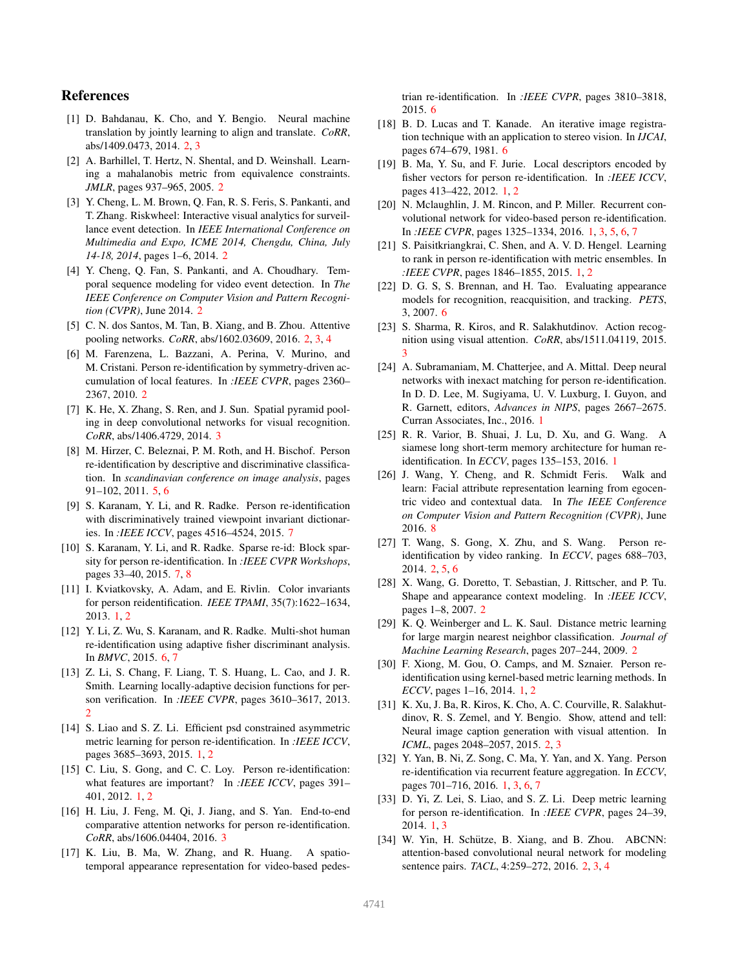# References

- <span id="page-8-11"></span>[1] D. Bahdanau, K. Cho, and Y. Bengio. Neural machine translation by jointly learning to align and translate. *CoRR*, abs/1409.0473, 2014. [2,](#page-1-1) [3](#page-2-1)
- <span id="page-8-17"></span>[2] A. Barhillel, T. Hertz, N. Shental, and D. Weinshall. Learning a mahalanobis metric from equivalence constraints. *JMLR*, pages 937–965, 2005. [2](#page-1-1)
- <span id="page-8-21"></span>[3] Y. Cheng, L. M. Brown, Q. Fan, R. S. Feris, S. Pankanti, and T. Zhang. Riskwheel: Interactive visual analytics for surveillance event detection. In *IEEE International Conference on Multimedia and Expo, ICME 2014, Chengdu, China, July 14-18, 2014*, pages 1–6, 2014. [2](#page-1-1)
- <span id="page-8-20"></span>[4] Y. Cheng, Q. Fan, S. Pankanti, and A. Choudhary. Temporal sequence modeling for video event detection. In *The IEEE Conference on Computer Vision and Pattern Recognition (CVPR)*, June 2014. [2](#page-1-1)
- <span id="page-8-14"></span>[5] C. N. dos Santos, M. Tan, B. Xiang, and B. Zhou. Attentive pooling networks. *CoRR*, abs/1602.03609, 2016. [2,](#page-1-1) [3,](#page-2-1) [4](#page-3-0)
- <span id="page-8-16"></span>[6] M. Farenzena, L. Bazzani, A. Perina, V. Murino, and M. Cristani. Person re-identification by symmetry-driven accumulation of local features. In *:IEEE CVPR*, pages 2360– 2367, 2010. [2](#page-1-1)
- <span id="page-8-25"></span>[7] K. He, X. Zhang, S. Ren, and J. Sun. Spatial pyramid pooling in deep convolutional networks for visual recognition. *CoRR*, abs/1406.4729, 2014. [3](#page-2-1)
- <span id="page-8-26"></span>[8] M. Hirzer, C. Beleznai, P. M. Roth, and H. Bischof. Person re-identification by descriptive and discriminative classification. In *scandinavian conference on image analysis*, pages 91–102, 2011. [5,](#page-4-2) [6](#page-5-1)
- <span id="page-8-32"></span>[9] S. Karanam, Y. Li, and R. Radke. Person re-identification with discriminatively trained viewpoint invariant dictionaries. In *:IEEE ICCV*, pages 4516–4524, 2015. [7](#page-6-4)
- <span id="page-8-31"></span>[10] S. Karanam, Y. Li, and R. Radke. Sparse re-id: Block sparsity for person re-identification. In *:IEEE CVPR Workshops*, pages 33–40, 2015. [7,](#page-6-4) [8](#page-7-2)
- <span id="page-8-0"></span>[11] I. Kviatkovsky, A. Adam, and E. Rivlin. Color invariants for person reidentification. *IEEE TPAMI*, 35(7):1622–1634, 2013. [1,](#page-0-2) [2](#page-1-1)
- <span id="page-8-29"></span>[12] Y. Li, Z. Wu, S. Karanam, and R. Radke. Multi-shot human re-identification using adaptive fisher discriminant analysis. In *BMVC*, 2015. [6,](#page-5-1) [7](#page-6-4)
- <span id="page-8-18"></span>[13] Z. Li, S. Chang, F. Liang, T. S. Huang, L. Cao, and J. R. Smith. Learning locally-adaptive decision functions for person verification. In *:IEEE CVPR*, pages 3610–3617, 2013. [2](#page-1-1)
- <span id="page-8-3"></span>[14] S. Liao and S. Z. Li. Efficient psd constrained asymmetric metric learning for person re-identification. In *:IEEE ICCV*, pages 3685–3693, 2015. [1,](#page-0-2) [2](#page-1-1)
- <span id="page-8-2"></span>[15] C. Liu, S. Gong, and C. C. Loy. Person re-identification: what features are important? In *:IEEE ICCV*, pages 391– 401, 2012. [1,](#page-0-2) [2](#page-1-1)
- <span id="page-8-24"></span>[16] H. Liu, J. Feng, M. Qi, J. Jiang, and S. Yan. End-to-end comparative attention networks for person re-identification. *CoRR*, abs/1606.04404, 2016. [3](#page-2-1)
- <span id="page-8-28"></span>[17] K. Liu, B. Ma, W. Zhang, and R. Huang. A spatiotemporal appearance representation for video-based pedes-

trian re-identification. In *:IEEE CVPR*, pages 3810–3818, 2015. [6](#page-5-1)

- <span id="page-8-27"></span>[18] B. D. Lucas and T. Kanade. An iterative image registration technique with an application to stereo vision. In *IJCAI*, pages 674–679, 1981. [6](#page-5-1)
- <span id="page-8-1"></span>[19] B. Ma, Y. Su, and F. Jurie. Local descriptors encoded by fisher vectors for person re-identification. In *:IEEE ICCV*, pages 413–422, 2012. [1,](#page-0-2) [2](#page-1-1)
- <span id="page-8-10"></span>[20] N. Mclaughlin, J. M. Rincon, and P. Miller. Recurrent convolutional network for video-based person re-identification. In *:IEEE CVPR*, pages 1325–1334, 2016. [1,](#page-0-2) [3,](#page-2-1) [5,](#page-4-2) [6,](#page-5-1) [7](#page-6-4)
- <span id="page-8-5"></span>[21] S. Paisitkriangkrai, C. Shen, and A. V. D. Hengel. Learning to rank in person re-identification with metric ensembles. In *:IEEE CVPR*, pages 1846–1855, 2015. [1,](#page-0-2) [2](#page-1-1)
- <span id="page-8-30"></span>[22] D. G. S. S. Brennan, and H. Tao. Evaluating appearance models for recognition, reacquisition, and tracking. *PETS*, 3, 2007. [6](#page-5-1)
- <span id="page-8-23"></span>[23] S. Sharma, R. Kiros, and R. Salakhutdinov. Action recognition using visual attention. *CoRR*, abs/1511.04119, 2015. [3](#page-2-1)
- <span id="page-8-8"></span>[24] A. Subramaniam, M. Chatterjee, and A. Mittal. Deep neural networks with inexact matching for person re-identification. In D. D. Lee, M. Sugiyama, U. V. Luxburg, I. Guyon, and R. Garnett, editors, *Advances in NIPS*, pages 2667–2675. Curran Associates, Inc., 2016. [1](#page-0-2)
- <span id="page-8-9"></span>[25] R. R. Varior, B. Shuai, J. Lu, D. Xu, and G. Wang. A siamese long short-term memory architecture for human reidentification. In *ECCV*, pages 135–153, 2016. [1](#page-0-2)
- <span id="page-8-33"></span>[26] J. Wang, Y. Cheng, and R. Schmidt Feris. Walk and learn: Facial attribute representation learning from egocentric video and contextual data. In *The IEEE Conference on Computer Vision and Pattern Recognition (CVPR)*, June 2016. [8](#page-7-2)
- <span id="page-8-22"></span>[27] T. Wang, S. Gong, X. Zhu, and S. Wang. Person reidentification by video ranking. In *ECCV*, pages 688–703, 2014. [2,](#page-1-1) [5,](#page-4-2) [6](#page-5-1)
- <span id="page-8-15"></span>[28] X. Wang, G. Doretto, T. Sebastian, J. Rittscher, and P. Tu. Shape and appearance context modeling. In *:IEEE ICCV*, pages 1–8, 2007. [2](#page-1-1)
- <span id="page-8-19"></span>[29] K. O. Weinberger and L. K. Saul. Distance metric learning for large margin nearest neighbor classification. *Journal of Machine Learning Research*, pages 207–244, 2009. [2](#page-1-1)
- <span id="page-8-4"></span>[30] F. Xiong, M. Gou, O. Camps, and M. Sznaier. Person reidentification using kernel-based metric learning methods. In *ECCV*, pages 1–16, 2014. [1,](#page-0-2) [2](#page-1-1)
- <span id="page-8-12"></span>[31] K. Xu, J. Ba, R. Kiros, K. Cho, A. C. Courville, R. Salakhutdinov, R. S. Zemel, and Y. Bengio. Show, attend and tell: Neural image caption generation with visual attention. In *ICML*, pages 2048–2057, 2015. [2,](#page-1-1) [3](#page-2-1)
- <span id="page-8-7"></span>[32] Y. Yan, B. Ni, Z. Song, C. Ma, Y. Yan, and X. Yang. Person re-identification via recurrent feature aggregation. In *ECCV*, pages 701–716, 2016. [1,](#page-0-2) [3,](#page-2-1) [6,](#page-5-1) [7](#page-6-4)
- <span id="page-8-6"></span>[33] D. Yi, Z. Lei, S. Liao, and S. Z. Li. Deep metric learning for person re-identification. In *:IEEE CVPR*, pages 24–39, 2014. [1,](#page-0-2) [3](#page-2-1)
- <span id="page-8-13"></span>[34] W. Yin, H. Schütze, B. Xiang, and B. Zhou. ABCNN: attention-based convolutional neural network for modeling sentence pairs. *TACL*, 4:259–272, 2016. [2,](#page-1-1) [3,](#page-2-1) [4](#page-3-0)